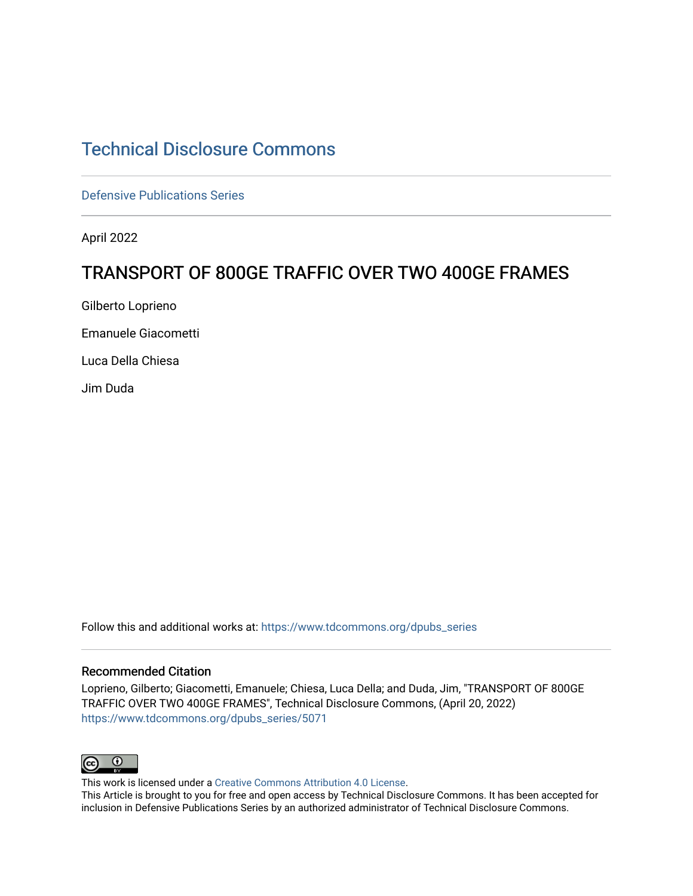# [Technical Disclosure Commons](https://www.tdcommons.org/)

[Defensive Publications Series](https://www.tdcommons.org/dpubs_series)

April 2022

## TRANSPORT OF 800GE TRAFFIC OVER TWO 400GE FRAMES

Gilberto Loprieno

Emanuele Giacometti

Luca Della Chiesa

Jim Duda

Follow this and additional works at: [https://www.tdcommons.org/dpubs\\_series](https://www.tdcommons.org/dpubs_series?utm_source=www.tdcommons.org%2Fdpubs_series%2F5071&utm_medium=PDF&utm_campaign=PDFCoverPages) 

#### Recommended Citation

Loprieno, Gilberto; Giacometti, Emanuele; Chiesa, Luca Della; and Duda, Jim, "TRANSPORT OF 800GE TRAFFIC OVER TWO 400GE FRAMES", Technical Disclosure Commons, (April 20, 2022) [https://www.tdcommons.org/dpubs\\_series/5071](https://www.tdcommons.org/dpubs_series/5071?utm_source=www.tdcommons.org%2Fdpubs_series%2F5071&utm_medium=PDF&utm_campaign=PDFCoverPages)



This work is licensed under a [Creative Commons Attribution 4.0 License](http://creativecommons.org/licenses/by/4.0/deed.en_US).

This Article is brought to you for free and open access by Technical Disclosure Commons. It has been accepted for inclusion in Defensive Publications Series by an authorized administrator of Technical Disclosure Commons.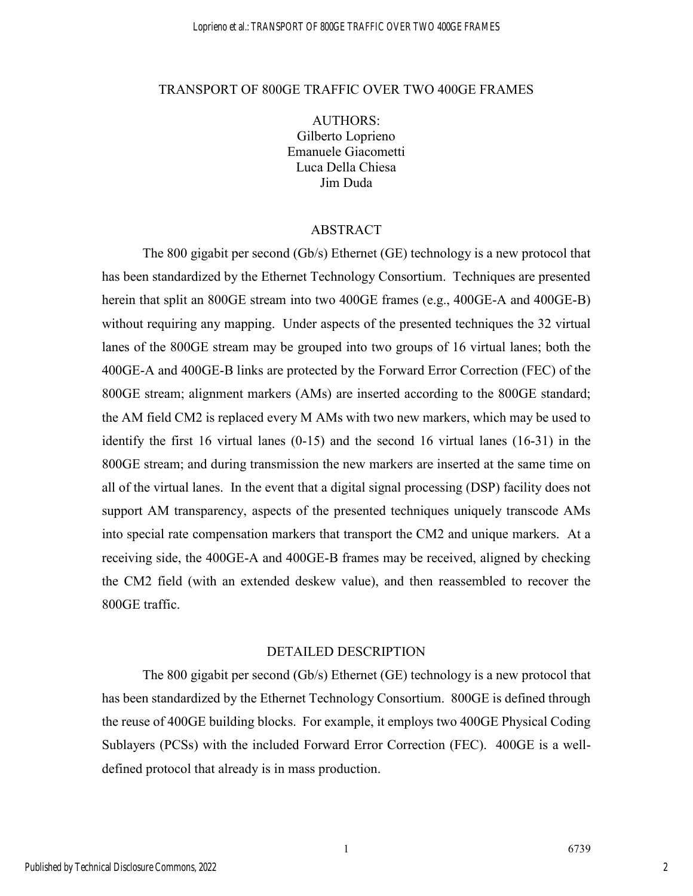#### TRANSPORT OF 800GE TRAFFIC OVER TWO 400GE FRAMES

AUTHORS: Gilberto Loprieno Emanuele Giacometti Luca Della Chiesa Jim Duda

### ABSTRACT

The 800 gigabit per second (Gb/s) Ethernet (GE) technology is a new protocol that has been standardized by the Ethernet Technology Consortium. Techniques are presented herein that split an 800GE stream into two 400GE frames (e.g., 400GE-A and 400GE-B) without requiring any mapping. Under aspects of the presented techniques the 32 virtual lanes of the 800GE stream may be grouped into two groups of 16 virtual lanes; both the 400GE-A and 400GE-B links are protected by the Forward Error Correction (FEC) of the 800GE stream; alignment markers (AMs) are inserted according to the 800GE standard; the AM field CM2 is replaced every M AMs with two new markers, which may be used to identify the first 16 virtual lanes (0-15) and the second 16 virtual lanes (16-31) in the 800GE stream; and during transmission the new markers are inserted at the same time on all of the virtual lanes. In the event that a digital signal processing (DSP) facility does not support AM transparency, aspects of the presented techniques uniquely transcode AMs into special rate compensation markers that transport the CM2 and unique markers. At a receiving side, the 400GE-A and 400GE-B frames may be received, aligned by checking the CM2 field (with an extended deskew value), and then reassembled to recover the 800GE traffic.

#### DETAILED DESCRIPTION

The 800 gigabit per second (Gb/s) Ethernet (GE) technology is a new protocol that has been standardized by the Ethernet Technology Consortium. 800GE is defined through the reuse of 400GE building blocks. For example, it employs two 400GE Physical Coding Sublayers (PCSs) with the included Forward Error Correction (FEC). 400GE is a welldefined protocol that already is in mass production.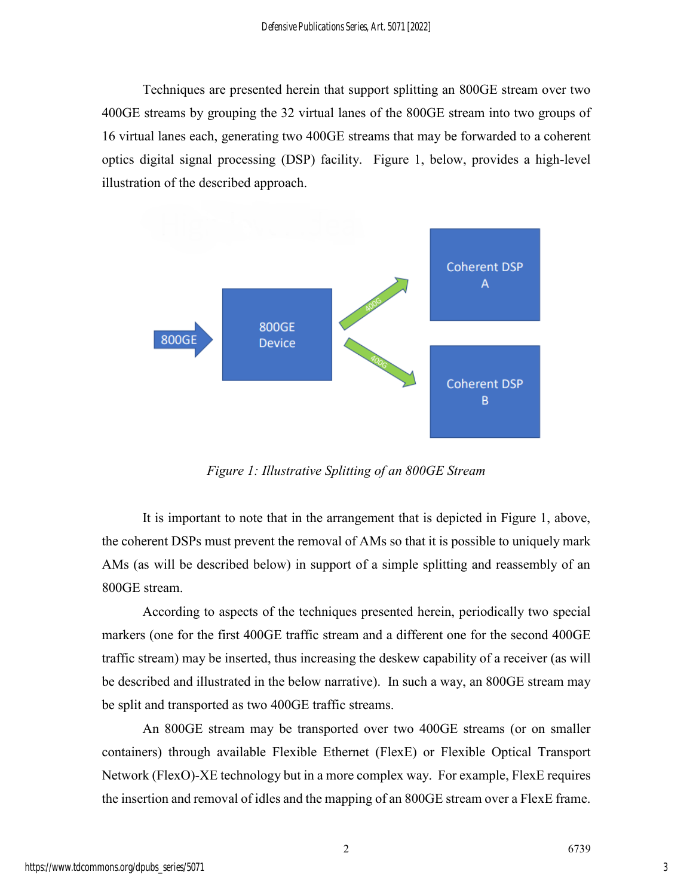Techniques are presented herein that support splitting an 800GE stream over two 400GE streams by grouping the 32 virtual lanes of the 800GE stream into two groups of 16 virtual lanes each, generating two 400GE streams that may be forwarded to a coherent optics digital signal processing (DSP) facility. Figure 1, below, provides a high-level illustration of the described approach.



*Figure 1: Illustrative Splitting of an 800GE Stream*

It is important to note that in the arrangement that is depicted in Figure 1, above, the coherent DSPs must prevent the removal of AMs so that it is possible to uniquely mark AMs (as will be described below) in support of a simple splitting and reassembly of an 800GE stream.

According to aspects of the techniques presented herein, periodically two special markers (one for the first 400GE traffic stream and a different one for the second 400GE traffic stream) may be inserted, thus increasing the deskew capability of a receiver (as will be described and illustrated in the below narrative). In such a way, an 800GE stream may be split and transported as two 400GE traffic streams.

An 800GE stream may be transported over two 400GE streams (or on smaller containers) through available Flexible Ethernet (FlexE) or Flexible Optical Transport Network (FlexO)-XE technology but in a more complex way. For example, FlexE requires the insertion and removal of idles and the mapping of an 800GE stream over a FlexE frame.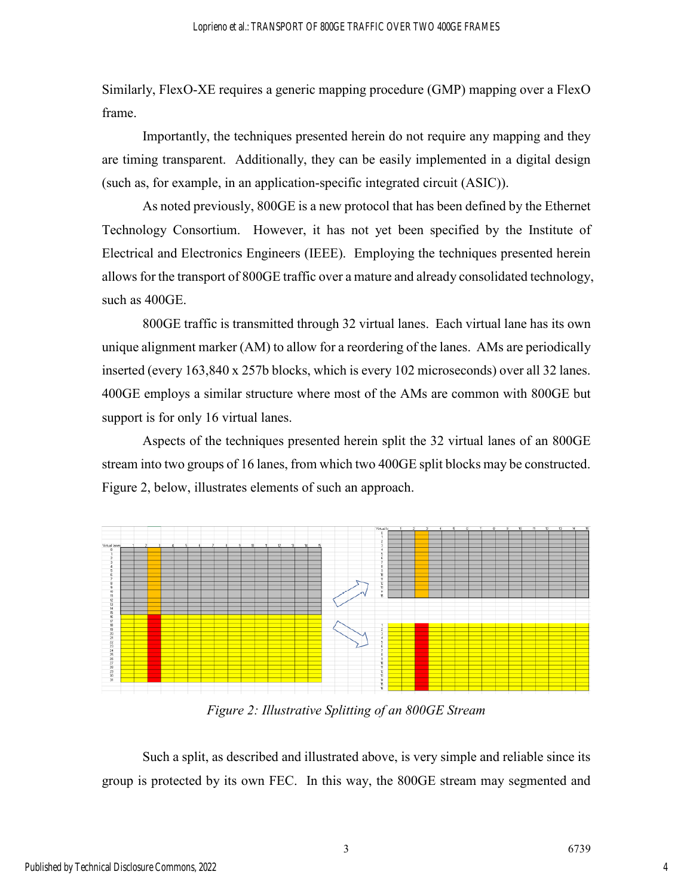Similarly, FlexO-XE requires a generic mapping procedure (GMP) mapping over a FlexO frame.

Importantly, the techniques presented herein do not require any mapping and they are timing transparent. Additionally, they can be easily implemented in a digital design (such as, for example, in an application-specific integrated circuit (ASIC)).

As noted previously, 800GE is a new protocol that has been defined by the Ethernet Technology Consortium. However, it has not yet been specified by the Institute of Electrical and Electronics Engineers (IEEE). Employing the techniques presented herein allows for the transport of 800GE traffic over a mature and already consolidated technology, such as 400GE.

800GE traffic is transmitted through 32 virtual lanes. Each virtual lane has its own unique alignment marker (AM) to allow for a reordering of the lanes. AMs are periodically inserted (every 163,840 x 257b blocks, which is every 102 microseconds) over all 32 lanes. 400GE employs a similar structure where most of the AMs are common with 800GE but support is for only 16 virtual lanes.

Aspects of the techniques presented herein split the 32 virtual lanes of an 800GE stream into two groups of 16 lanes, from which two 400GE split blocks may be constructed. Figure 2, below, illustrates elements of such an approach.



*Figure 2: Illustrative Splitting of an 800GE Stream*

Such a split, as described and illustrated above, is very simple and reliable since its group is protected by its own FEC. In this way, the 800GE stream may segmented and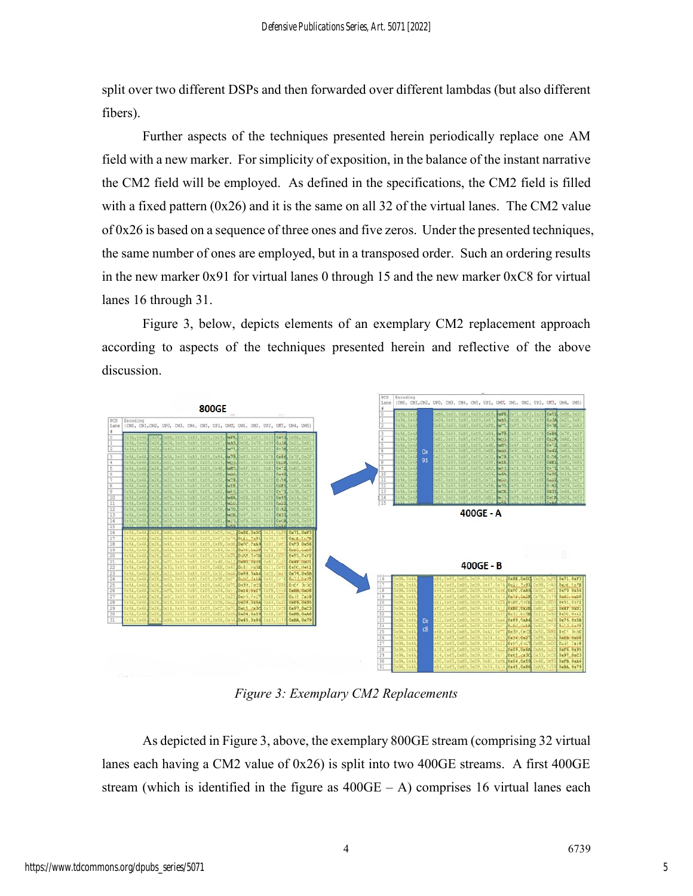split over two different DSPs and then forwarded over different lambdas (but also different fibers).

Further aspects of the techniques presented herein periodically replace one AM field with a new marker. For simplicity of exposition, in the balance of the instant narrative the CM2 field will be employed. As defined in the specifications, the CM2 field is filled with a fixed pattern  $(0x26)$  and it is the same on all 32 of the virtual lanes. The CM2 value of 0x26 is based on a sequence of three ones and five zeros. Under the presented techniques, the same number of ones are employed, but in a transposed order. Such an ordering results in the new marker 0x91 for virtual lanes 0 through 15 and the new marker 0xC8 for virtual lanes 16 through 31.

Figure 3, below, depicts elements of an exemplary CM2 replacement approach according to aspects of the techniques presented herein and reflective of the above discussion.



*Figure 3: Exemplary CM2 Replacements*

As depicted in Figure 3, above, the exemplary 800GE stream (comprising 32 virtual lanes each having a CM2 value of 0x26) is split into two 400GE streams. A first 400GE stream (which is identified in the figure as  $400GE - A$ ) comprises 16 virtual lanes each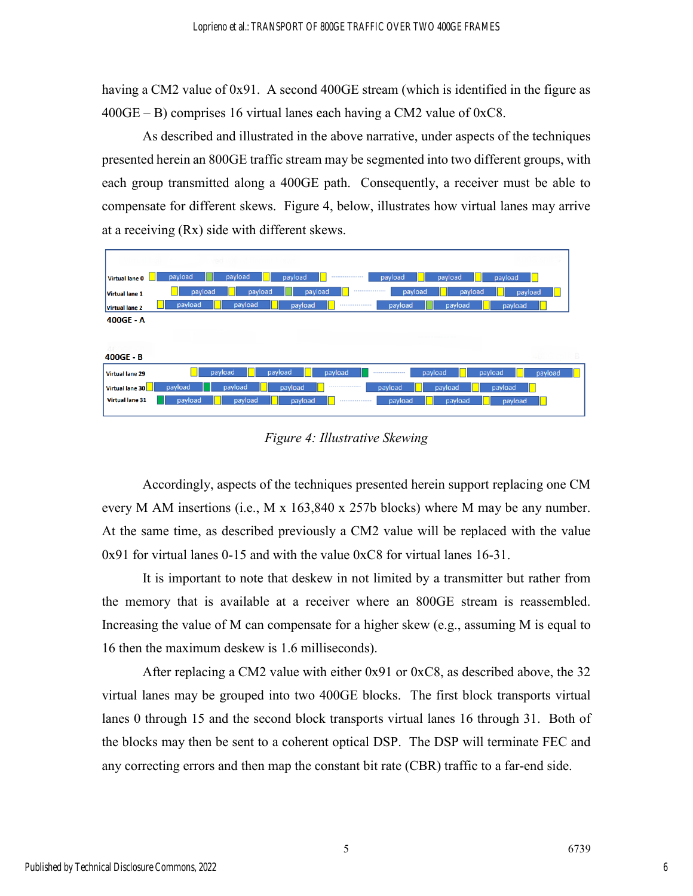having a CM2 value of 0x91. A second 400GE stream (which is identified in the figure as  $400GE - B$ ) comprises 16 virtual lanes each having a CM2 value of 0xC8.

As described and illustrated in the above narrative, under aspects of the techniques presented herein an 800GE traffic stream may be segmented into two different groups, with each group transmitted along a 400GE path. Consequently, a receiver must be able to compensate for different skews. Figure 4, below, illustrates how virtual lanes may arrive at a receiving (Rx) side with different skews.

|                        | ved                                                                                      |
|------------------------|------------------------------------------------------------------------------------------|
| <b>Virtual lane 0</b>  | payload<br>payload<br>payload<br>payload<br>payload<br>payload<br>                       |
| Virtual lane 1         | payload<br>payload<br>payload<br>payload<br>payload<br>-----------------<br>payload      |
| <b>Virtual lane 2</b>  | payload<br>payload<br>payload<br>payload<br>payload<br>payload<br>-----------------      |
| $400GE - A$            |                                                                                          |
|                        |                                                                                          |
|                        |                                                                                          |
| $400$ GE - B           | B<br>406                                                                                 |
| <b>Virtual lane 29</b> | H<br>payload<br>payload<br>payload<br>payload<br>payload<br>payload<br>----------------- |
| Virtual lane 30        | payload<br>payload<br>payload<br>payload<br>payload<br>payload<br>-----------------      |
| <b>Virtual lane 31</b> | payload<br>payload<br>payload<br>payload<br>payload<br>payload<br>-----------------      |
|                        |                                                                                          |

*Figure 4: Illustrative Skewing*

Accordingly, aspects of the techniques presented herein support replacing one CM every M AM insertions (i.e., M x 163,840 x 257b blocks) where M may be any number. At the same time, as described previously a CM2 value will be replaced with the value 0x91 for virtual lanes 0-15 and with the value 0xC8 for virtual lanes 16-31.

It is important to note that deskew in not limited by a transmitter but rather from the memory that is available at a receiver where an 800GE stream is reassembled. Increasing the value of M can compensate for a higher skew (e.g., assuming M is equal to 16 then the maximum deskew is 1.6 milliseconds).

After replacing a CM2 value with either 0x91 or 0xC8, as described above, the 32 virtual lanes may be grouped into two 400GE blocks. The first block transports virtual lanes 0 through 15 and the second block transports virtual lanes 16 through 31. Both of the blocks may then be sent to a coherent optical DSP. The DSP will terminate FEC and any correcting errors and then map the constant bit rate (CBR) traffic to a far-end side.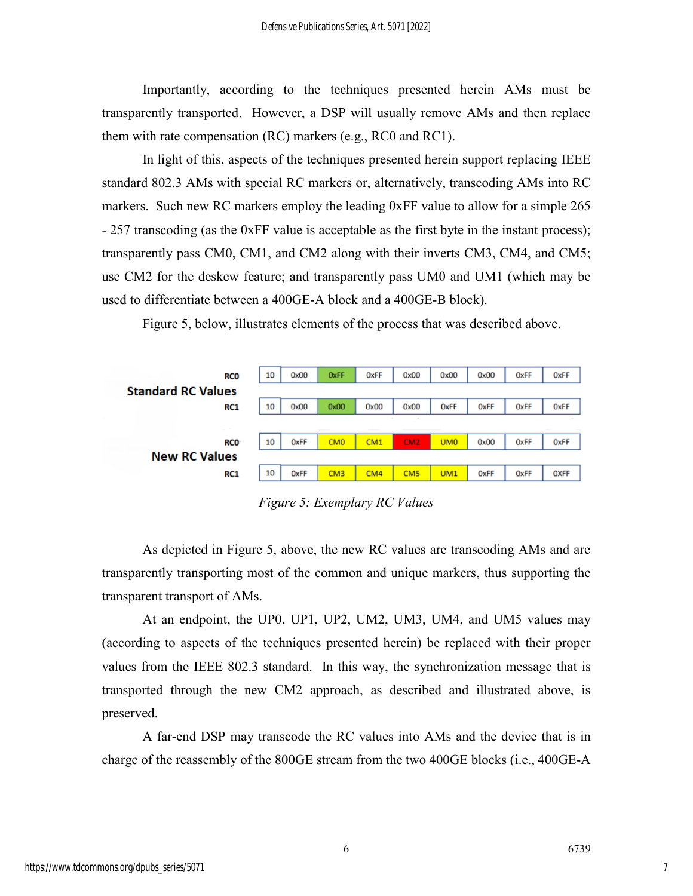Importantly, according to the techniques presented herein AMs must be transparently transported. However, a DSP will usually remove AMs and then replace them with rate compensation (RC) markers (e.g., RC0 and RC1).

In light of this, aspects of the techniques presented herein support replacing IEEE standard 802.3 AMs with special RC markers or, alternatively, transcoding AMs into RC markers. Such new RC markers employ the leading 0xFF value to allow for a simple 265 - 257 transcoding (as the 0xFF value is acceptable as the first byte in the instant process); transparently pass CM0, CM1, and CM2 along with their inverts CM3, CM4, and CM5; use CM2 for the deskew feature; and transparently pass UM0 and UM1 (which may be used to differentiate between a 400GE-A block and a 400GE-B block).

Figure 5, below, illustrates elements of the process that was described above.



*Figure 5: Exemplary RC Values*

As depicted in Figure 5, above, the new RC values are transcoding AMs and are transparently transporting most of the common and unique markers, thus supporting the transparent transport of AMs.

At an endpoint, the UP0, UP1, UP2, UM2, UM3, UM4, and UM5 values may (according to aspects of the techniques presented herein) be replaced with their proper values from the IEEE 802.3 standard. In this way, the synchronization message that is transported through the new CM2 approach, as described and illustrated above, is preserved.

A far-end DSP may transcode the RC values into AMs and the device that is in charge of the reassembly of the 800GE stream from the two 400GE blocks (i.e., 400GE-A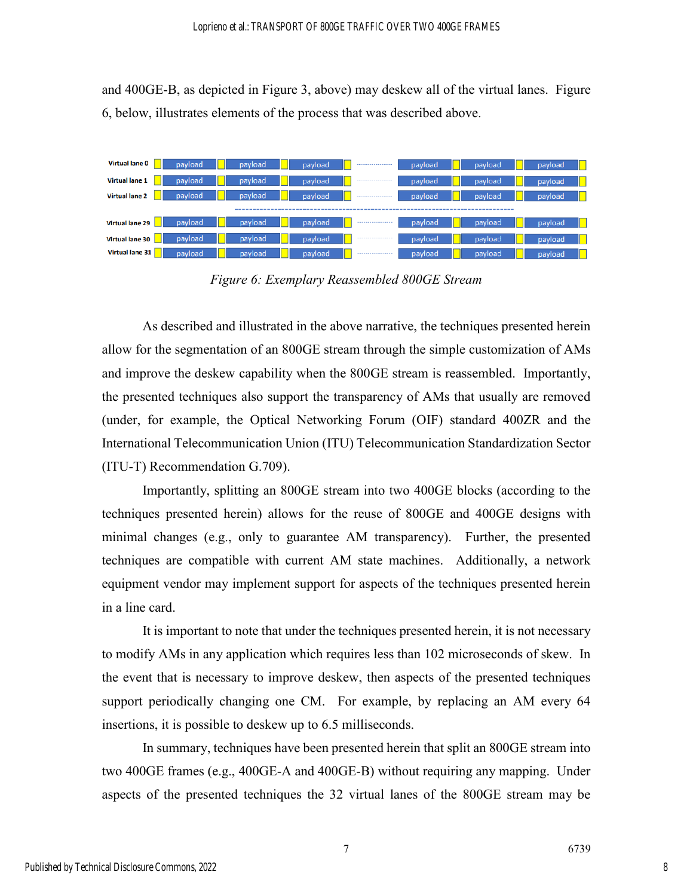and 400GE-B, as depicted in Figure 3, above) may deskew all of the virtual lanes. Figure 6, below, illustrates elements of the process that was described above.



*Figure 6: Exemplary Reassembled 800GE Stream*

As described and illustrated in the above narrative, the techniques presented herein allow for the segmentation of an 800GE stream through the simple customization of AMs and improve the deskew capability when the 800GE stream is reassembled. Importantly, the presented techniques also support the transparency of AMs that usually are removed (under, for example, the Optical Networking Forum (OIF) standard 400ZR and the International Telecommunication Union (ITU) Telecommunication Standardization Sector (ITU-T) Recommendation G.709).

Importantly, splitting an 800GE stream into two 400GE blocks (according to the techniques presented herein) allows for the reuse of 800GE and 400GE designs with minimal changes (e.g., only to guarantee AM transparency). Further, the presented techniques are compatible with current AM state machines. Additionally, a network equipment vendor may implement support for aspects of the techniques presented herein in a line card.

It is important to note that under the techniques presented herein, it is not necessary to modify AMs in any application which requires less than 102 microseconds of skew. In the event that is necessary to improve deskew, then aspects of the presented techniques support periodically changing one CM. For example, by replacing an AM every 64 insertions, it is possible to deskew up to 6.5 milliseconds.

In summary, techniques have been presented herein that split an 800GE stream into two 400GE frames (e.g., 400GE-A and 400GE-B) without requiring any mapping. Under aspects of the presented techniques the 32 virtual lanes of the 800GE stream may be